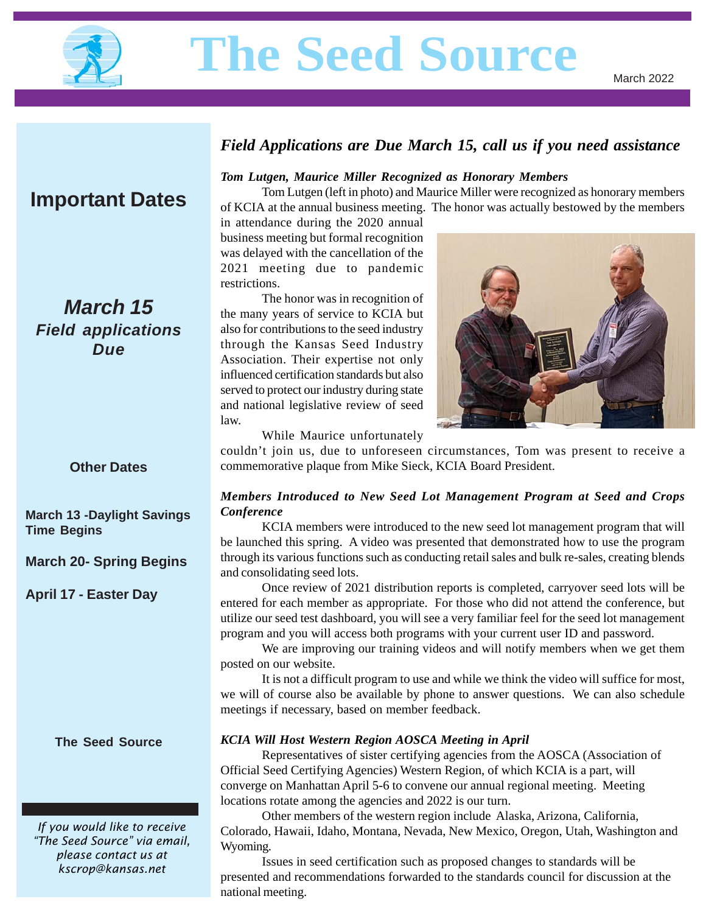

# **The Seed Source**

# **Important Dates**

# *March 15 Field applications Due*

## *Field Applications are Due March 15, call us if you need assistance*

#### *Tom Lutgen, Maurice Miller Recognized as Honorary Members*

Tom Lutgen (left in photo) and Maurice Miller were recognized as honorary members of KCIA at the annual business meeting. The honor was actually bestowed by the members

in attendance during the 2020 annual business meeting but formal recognition was delayed with the cancellation of the 2021 meeting due to pandemic restrictions.

The honor was in recognition of the many years of service to KCIA but also for contributions to the seed industry through the Kansas Seed Industry Association. Their expertise not only influenced certification standards but also served to protect our industry during state and national legislative review of seed law.



While Maurice unfortunately

couldn't join us, due to unforeseen circumstances, Tom was present to receive a commemorative plaque from Mike Sieck, KCIA Board President.

#### *Members Introduced to New Seed Lot Management Program at Seed and Crops Conference*

KCIA members were introduced to the new seed lot management program that will be launched this spring. A video was presented that demonstrated how to use the program through its various functions such as conducting retail sales and bulk re-sales, creating blends and consolidating seed lots.

Once review of 2021 distribution reports is completed, carryover seed lots will be entered for each member as appropriate. For those who did not attend the conference, but utilize our seed test dashboard, you will see a very familiar feel for the seed lot management program and you will access both programs with your current user ID and password.

We are improving our training videos and will notify members when we get them posted on our website.

It is not a difficult program to use and while we think the video will suffice for most, we will of course also be available by phone to answer questions. We can also schedule meetings if necessary, based on member feedback.

#### *KCIA Will Host Western Region AOSCA Meeting in April*

Representatives of sister certifying agencies from the AOSCA (Association of Official Seed Certifying Agencies) Western Region, of which KCIA is a part, will converge on Manhattan April 5-6 to convene our annual regional meeting. Meeting locations rotate among the agencies and 2022 is our turn.

Other members of the western region include Alaska, Arizona, California, Colorado, Hawaii, Idaho, Montana, Nevada, New Mexico, Oregon, Utah, Washington and Wyoming.

Issues in seed certification such as proposed changes to standards will be presented and recommendations forwarded to the standards council for discussion at the national meeting.

#### **Other Dates**

**March 13 -Daylight Savings Time Begins**

**March 20- Spring Begins**

**April 17 - Easter Day**

**The Seed Source**

*If you would like to receive "The Seed Source" via email, please contact us at kscrop@kansas.net*